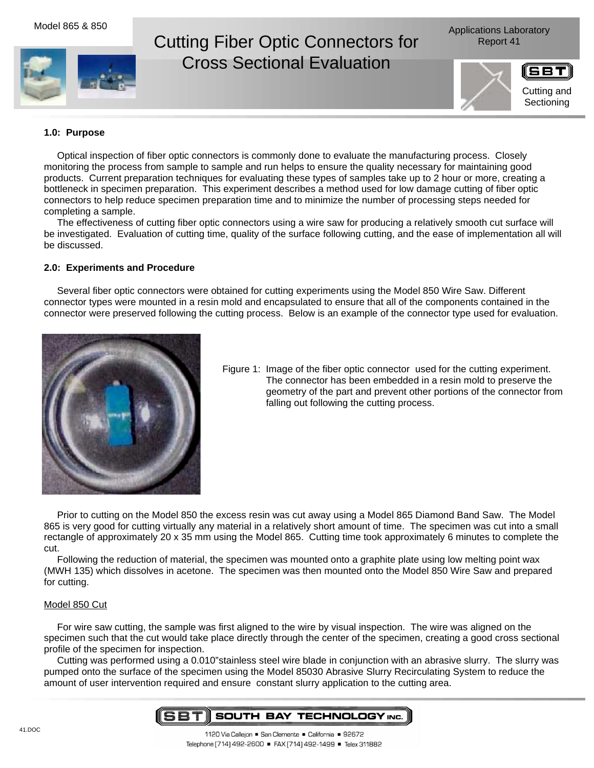# Cutting Fiber Optic Connectors for Report 41 Cross Sectional Evaluation

Applications Laboratory





## **1.0: Purpose**

Optical inspection of fiber optic connectors is commonly done to evaluate the manufacturing process. Closely monitoring the process from sample to sample and run helps to ensure the quality necessary for maintaining good products. Current preparation techniques for evaluating these types of samples take up to 2 hour or more, creating a bottleneck in specimen preparation. This experiment describes a method used for low damage cutting of fiber optic connectors to help reduce specimen preparation time and to minimize the number of processing steps needed for completing a sample.

The effectiveness of cutting fiber optic connectors using a wire saw for producing a relatively smooth cut surface will be investigated. Evaluation of cutting time, quality of the surface following cutting, and the ease of implementation all will be discussed.

#### **2.0: Experiments and Procedure**

Several fiber optic connectors were obtained for cutting experiments using the Model 850 Wire Saw. Different connector types were mounted in a resin mold and encapsulated to ensure that all of the components contained in the connector were preserved following the cutting process. Below is an example of the connector type used for evaluation.



Figure 1: Image of the fiber optic connector used for the cutting experiment. The connector has been embedded in a resin mold to preserve the geometry of the part and prevent other portions of the connector from falling out following the cutting process.

Prior to cutting on the Model 850 the excess resin was cut away using a Model 865 Diamond Band Saw. The Model 865 is very good for cutting virtually any material in a relatively short amount of time. The specimen was cut into a small rectangle of approximately 20 x 35 mm using the Model 865. Cutting time took approximately 6 minutes to complete the cut.

Following the reduction of material, the specimen was mounted onto a graphite plate using low melting point wax (MWH 135) which dissolves in acetone. The specimen was then mounted onto the Model 850 Wire Saw and prepared for cutting.

#### Model 850 Cut

For wire saw cutting, the sample was first aligned to the wire by visual inspection. The wire was aligned on the specimen such that the cut would take place directly through the center of the specimen, creating a good cross sectional profile of the specimen for inspection.

Cutting was performed using a 0.010"stainless steel wire blade in conjunction with an abrasive slurry. The slurry was pumped onto the surface of the specimen using the Model 85030 Abrasive Slurry Recirculating System to reduce the amount of user intervention required and ensure constant slurry application to the cutting area.